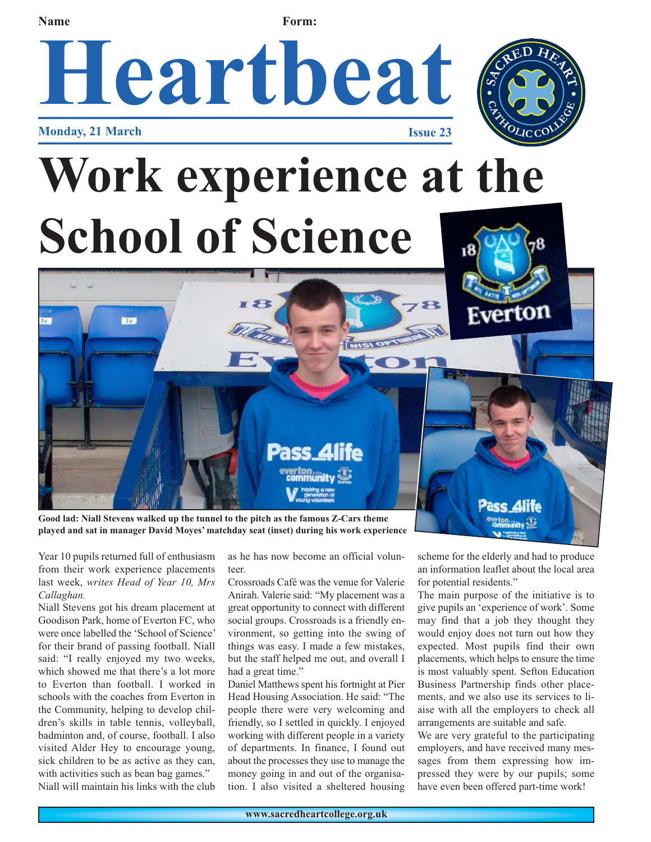## **Name Form: Heartbeat Monday, 21 March Issue 23 Work experience at the School of Science** Everton **Ktvs Pass\_4life** Pass Alife **Good lad: Niall Stevens walked up the tunnel to the pitch as the famous Z-Cars theme**

**played and sat in manager David Moyes' matchday seat (inset) during his work experience**

Year 10 pupils returned full of enthusiasm from their work experience placements last week, *writes Head of Year 10, Mrs Callaghan.*

Niall Stevens got his dream placement at Goodison Park, home of Everton FC, who were once labelled the 'School of Science' for their brand of passing football. Niall said: "I really enjoyed my two weeks, which showed me that there's a lot more to Everton than football. I worked in schools with the coaches from Everton in the Community, helping to develop children's skills in table tennis, volleyball, badminton and, of course, football. I also visited Alder Hey to encourage young, sick children to be as active as they can, with activities such as bean bag games." Niall will maintain his links with the club

as he has now become an official volunteer.

Crossroads Café was the venue for Valerie Anirah. Valerie said: "My placement was a great opportunity to connect with different social groups. Crossroads is a friendly environment, so getting into the swing of things was easy. I made a few mistakes, but the staff helped me out, and overall I had a great time."

Daniel Matthews spent his fortnight at Pier Head Housing Association. He said: "The people there were very welcoming and friendly, so I settled in quickly. I enjoyed working with different people in a variety of departments. In finance, I found out about the processes they use to manage the money going in and out of the organisation. I also visited a sheltered housing

scheme for the elderly and had to produce an information leaflet about the local area for potential residents."

The main purpose of the initiative is to give pupils an 'experience of work'. Some may find that a job they thought they would enjoy does not turn out how they expected. Most pupils find their own placements, which helps to ensure the time is most valuably spent. Sefton Education Business Partnership finds other placements, and we also use its services to liaise with all the employers to check all arrangements are suitable and safe.

We are very grateful to the participating employers, and have received many messages from them expressing how impressed they were by our pupils; some have even been offered part-time work!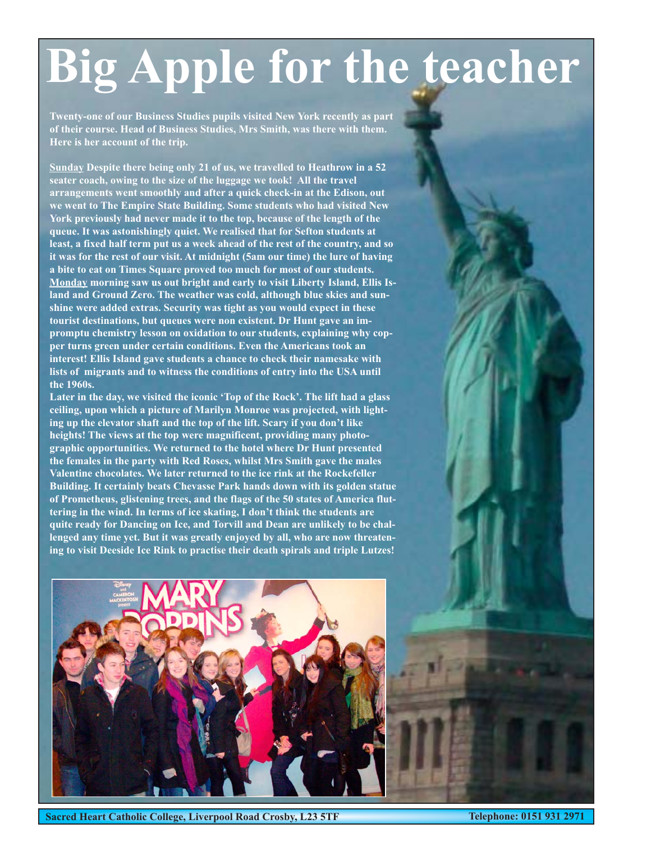# **Big Apple for the teacher**

**Twenty-one of our Business Studies pupils visited New York recently as part of their course. Head of Business Studies, Mrs Smith, was there with them. Here is her account of the trip.**

**Sunday Despite there being only 21 of us, we travelled to Heathrow in a 52 seater coach, owing to the size of the luggage we took! All the travel arrangements went smoothly and after a quick check-in at the Edison, out we went to The Empire State Building. Some students who had visited New York previously had never made it to the top, because of the length of the queue. It was astonishingly quiet. We realised that for Sefton students at least, a fixed half term put us a week ahead of the rest of the country, and so it was for the rest of our visit. At midnight (5am our time) the lure of having a bite to eat on Times Square proved too much for most of our students. Monday morning saw us out bright and early to visit Liberty Island, Ellis Island and Ground Zero. The weather was cold, although blue skies and sunshine were added extras. Security was tight as you would expect in these tourist destinations, but queues were non existent. Dr Hunt gave an impromptu chemistry lesson on oxidation to our students, explaining why copper turns green under certain conditions. Even the Americans took an interest! Ellis Island gave students a chance to check their namesake with lists of migrants and to witness the conditions of entry into the USA until the 1960s.** 

**Later in the day, we visited the iconic 'Top of the Rock'. The lift had a glass ceiling, upon which a picture of Marilyn Monroe was projected, with lighting up the elevator shaft and the top of the lift. Scary if you don't like heights! The views at the top were magnificent, providing many photographic opportunities. We returned to the hotel where Dr Hunt presented the females in the party with Red Roses, whilst Mrs Smith gave the males Valentine chocolates. We later returned to the ice rink at the Rockefeller Building. It certainly beats Chevasse Park hands down with its golden statue of Prometheus, glistening trees, and the flags of the 50 states of America fluttering in the wind. In terms of ice skating, I don't think the students are quite ready for Dancing on Ice, and Torvill and Dean are unlikely to be challenged any time yet. But it was greatly enjoyed by all, who are now threatening to visit Deeside Ice Rink to practise their death spirals and triple Lutzes!**

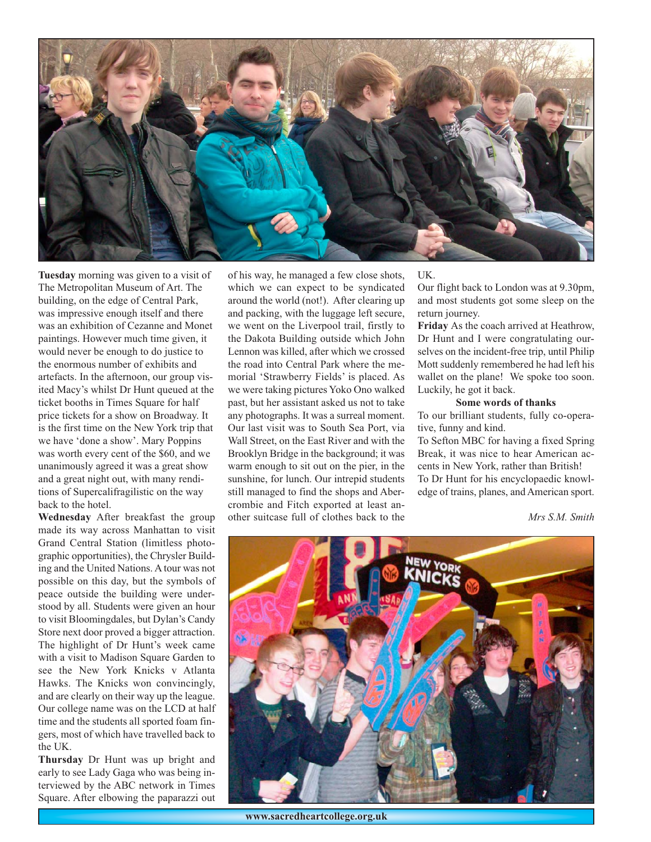

**Tuesday** morning was given to a visit of The Metropolitan Museum of Art. The building, on the edge of Central Park, was impressive enough itself and there was an exhibition of Cezanne and Monet paintings. However much time given, it would never be enough to do justice to the enormous number of exhibits and artefacts. In the afternoon, our group visited Macy's whilst Dr Hunt queued at the ticket booths in Times Square for half price tickets for a show on Broadway. It is the first time on the New York trip that we have 'done a show'. Mary Poppins was worth every cent of the \$60, and we unanimously agreed it was a great show and a great night out, with many renditions of Supercalifragilistic on the way back to the hotel.

**Wednesday** After breakfast the group made its way across Manhattan to visit Grand Central Station (limitless photographic opportunities), the Chrysler Building and the United Nations. A tour was not possible on this day, but the symbols of peace outside the building were understood by all. Students were given an hour to visit Bloomingdales, but Dylan's Candy Store next door proved a bigger attraction. The highlight of Dr Hunt's week came with a visit to Madison Square Garden to see the New York Knicks v Atlanta Hawks. The Knicks won convincingly, and are clearly on their way up the league. Our college name was on the LCD at half time and the students all sported foam fingers, most of which have travelled back to the UK.

**Thursday** Dr Hunt was up bright and early to see Lady Gaga who was being interviewed by the ABC network in Times Square. After elbowing the paparazzi out of his way, he managed a few close shots, which we can expect to be syndicated around the world (not!). After clearing up and packing, with the luggage left secure, we went on the Liverpool trail, firstly to the Dakota Building outside which John Lennon was killed, after which we crossed the road into Central Park where the memorial 'Strawberry Fields' is placed. As we were taking pictures Yoko Ono walked past, but her assistant asked us not to take any photographs. It was a surreal moment. Our last visit was to South Sea Port, via Wall Street, on the East River and with the Brooklyn Bridge in the background; it was warm enough to sit out on the pier, in the sunshine, for lunch. Our intrepid students still managed to find the shops and Abercrombie and Fitch exported at least another suitcase full of clothes back to the

#### UK.

Our flight back to London was at 9.30pm, and most students got some sleep on the return journey.

**Friday** As the coach arrived at Heathrow, Dr Hunt and I were congratulating ourselves on the incident-free trip, until Philip Mott suddenly remembered he had left his wallet on the plane! We spoke too soon. Luckily, he got it back.

### **Some words of thanks**

To our brilliant students, fully co-operative, funny and kind.

To Sefton MBC for having a fixed Spring Break, it was nice to hear American accents in New York, rather than British! To Dr Hunt for his encyclopaedic knowledge of trains, planes, and American sport.

*Mrs S.M. Smith*



**www.sacredheartcollege.org.uk**